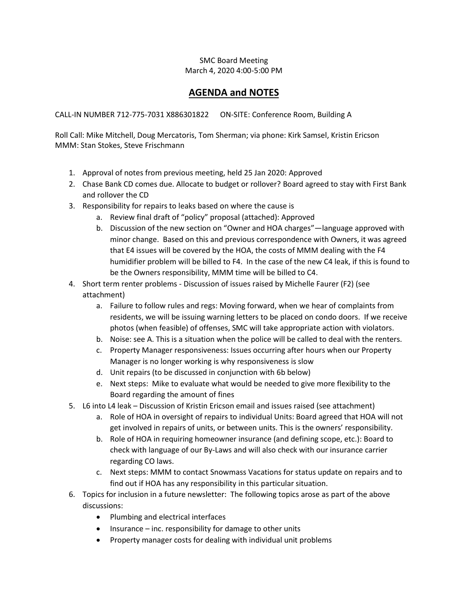## SMC Board Meeting March 4, 2020 4:00-5:00 PM

## **AGENDA and NOTES**

CALL-IN NUMBER 712-775-7031 X886301822 ON-SITE: Conference Room, Building A

Roll Call: Mike Mitchell, Doug Mercatoris, Tom Sherman; via phone: Kirk Samsel, Kristin Ericson MMM: Stan Stokes, Steve Frischmann

- 1. Approval of notes from previous meeting, held 25 Jan 2020: Approved
- 2. Chase Bank CD comes due. Allocate to budget or rollover? Board agreed to stay with First Bank and rollover the CD
- 3. Responsibility for repairs to leaks based on where the cause is
	- a. Review final draft of "policy" proposal (attached): Approved
	- b. Discussion of the new section on "Owner and HOA charges"—language approved with minor change. Based on this and previous correspondence with Owners, it was agreed that E4 issues will be covered by the HOA, the costs of MMM dealing with the F4 humidifier problem will be billed to F4. In the case of the new C4 leak, if this is found to be the Owners responsibility, MMM time will be billed to C4.
- 4. Short term renter problems Discussion of issues raised by Michelle Faurer (F2) (see attachment)
	- a. Failure to follow rules and regs: Moving forward, when we hear of complaints from residents, we will be issuing warning letters to be placed on condo doors. If we receive photos (when feasible) of offenses, SMC will take appropriate action with violators.
	- b. Noise: see A. This is a situation when the police will be called to deal with the renters.
	- c. Property Manager responsiveness: Issues occurring after hours when our Property Manager is no longer working is why responsiveness is slow
	- d. Unit repairs (to be discussed in conjunction with 6b below)
	- e. Next steps: Mike to evaluate what would be needed to give more flexibility to the Board regarding the amount of fines
- 5. L6 into L4 leak Discussion of Kristin Ericson email and issues raised (see attachment)
	- a. Role of HOA in oversight of repairs to individual Units: Board agreed that HOA will not get involved in repairs of units, or between units. This is the owners' responsibility.
	- b. Role of HOA in requiring homeowner insurance (and defining scope, etc.): Board to check with language of our By-Laws and will also check with our insurance carrier regarding CO laws.
	- c. Next steps: MMM to contact Snowmass Vacations for status update on repairs and to find out if HOA has any responsibility in this particular situation.
- 6. Topics for inclusion in a future newsletter: The following topics arose as part of the above discussions:
	- Plumbing and electrical interfaces
	- Insurance inc. responsibility for damage to other units
	- Property manager costs for dealing with individual unit problems